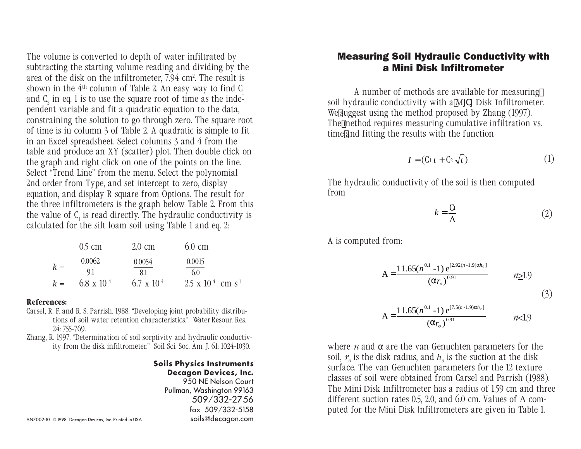The volume is converted to depth of water infiltrated by subtracting the starting volume reading and dividing by the area of the disk on the infiltrometer, 7.94 cm². The result is shown in the  $4<sup>th</sup>$  column of Table 2. An easy way to find  $C<sub>i</sub>$ and  $C_2$  in eq. 1 is to use the square root of time as the independent variable and fit a quadratic equation to the data, constraining the solution to go through zero. The square root of time is in column 3 of Table 2. A quadratic is simple to fit in an Excel spreadsheet. Select columns 3 and 4 from the table and produce an XY (scatter) plot. Then double click on the graph and right click on one of the points on the line. Select "Trend Line" from the menu. Select the polynomial 2nd order from Type, and set intercept to zero, display equation, and display R square from Options. The result for the three infiltrometers is the graph below Table 2. From this the value of  $C<sub>1</sub>$  is read directly. The hydraulic conductivity is calculated for the silt loam soil using Table 1 and eq. 2:

|       | $0.5 \text{ cm}$            | $2.0 \text{ cm}$            | $6.0 \text{ cm}$                              |
|-------|-----------------------------|-----------------------------|-----------------------------------------------|
| $k =$ | 0.0062                      | 0.0054                      | 0.0015                                        |
| $k =$ | 9.1<br>$6.8 \times 10^{-4}$ | 8.1<br>$6.7 \times 10^{-4}$ | 60<br>$2.5 \times 10^{-4}$ cm s <sup>-1</sup> |
|       |                             |                             |                                               |

## References:

- Carsel, R. F. and R. S. Parrish. 1988. "Developing joint probability distributions of soil water retention characteristics. Water Resour. Res. 24: 755-769.
- Zhang, R. 1997. "Determination of soil sorptivity and hydraulic conductivity from the disk infiltrometer." Soil Sci. Soc. Am. J. 61: 1024-1030.

## Soils Physics Instruments Decagon Devices, Inc.

950 NE Nelson Court Pullman, Washington 99163 509/332-2756 fax 509/332-5158

## Measuring Soil Hydraulic Conductivity with a Mini Disk Infiltrometer

A number of methods are available for measuring soil hydraulic conductivity with a M $\Gamma$  Disk Infiltrometer. We suggest using the method proposed by Zhang (1997). The method requires measuring cumulative infiltration vs. time and fitting the results with the function

$$
I = (C_1 t + C_2 \sqrt{t})
$$
 (1)

The hydraulic conductivity of the soil is then computed from

$$
k = \frac{C_1}{A} \tag{2}
$$

A is computed from:

$$
A = \frac{11.65(n^{0.1} - 1) e^{[2.92(n-1.9)\alpha h_o]}}{(\alpha r_o)^{0.91}} \qquad n \ge 1.9
$$

A = 
$$
\frac{11.65(n^{0.1} - 1) e^{[7.5(n-1.9)\alpha h_o]}}{(\alpha r_o)^{0.91}}
$$
 *n*<1.9

where *n* and  $\alpha$  are the van Genuchten parameters for the soil,  $r_{\circ}$  is the disk radius, and  $h_{\circ}$  is the suction at the disk surface. The van Genuchten parameters for the 12 texture classes of soil were obtained from Carsel and Parrish (1988). The Mini Disk Infiltrometer has a radius of 1.59 cm and three different suction rates 0.5, 2.0, and 6.0 cm. Values of A computed for the Mini Disk Infiltrometers are given in Table 1.